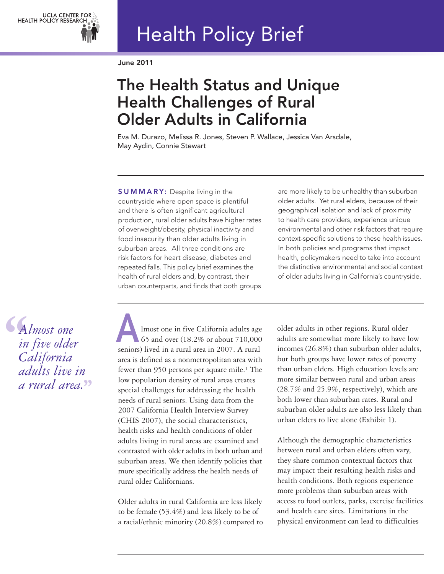

# Health Policy Brief

**June 2011**

# **The Health Status and Unique Health Challenges of Rural Older Adults in California**

Eva M. Durazo, Melissa R. Jones, Steven P. Wallace, Jessica Van Arsdale, May Aydin, Connie Stewart

**S U M M A R Y:** Despite living in the countryside where open space is plentiful and there is often significant agricultural production, rural older adults have higher rates of overweight/obesity, physical inactivity and food insecurity than older adults living in suburban areas. All three conditions are risk factors for heart disease, diabetes and repeated falls. This policy brief examines the health of rural elders and, by contrast, their urban counterparts, and finds that both groups are more likely to be unhealthy than suburban older adults. Yet rural elders, because of their geographical isolation and lack of proximity to health care providers, experience unique environmental and other risk factors that require context-specific solutions to these health issues. In both policies and programs that impact health, policymakers need to take into account the distinctive environmental and social context of older adults living in California's countryside.

**A** *lmost one*<br> *in five older*<br> *California*<br> *adults live in*<br>
<sup>tewert</sup> *Almost one in five older California adults live in a rural area.* **''**

lmost one in five California adults age 65 and over (18.2% or about 710,000 seniors) lived in a rural area in 2007. A rural area is defined as a nonmetropolitan area with fewer than 950 persons per square mile.<sup>1</sup> The low population density of rural areas creates special challenges for addressing the health needs of rural seniors. Using data from the 2007 California Health Interview Survey (CHIS 2007), the social characteristics, health risks and health conditions of older adults living in rural areas are examined and contrasted with older adults in both urban and suburban areas. We then identify policies that more specifically address the health needs of rural older Californians.

Older adults in rural California are less likely to be female (53.4%) and less likely to be of a racial/ethnic minority (20.8%) compared to older adults in other regions. Rural older adults are somewhat more likely to have low incomes (26.8%) than suburban older adults, but both groups have lower rates of poverty than urban elders. High education levels are more similar between rural and urban areas (28.7% and 25.9%, respectively), which are both lower than suburban rates. Rural and suburban older adults are also less likely than urban elders to live alone (Exhibit 1).

Although the demographic characteristics between rural and urban elders often vary, they share common contextual factors that may impact their resulting health risks and health conditions. Both regions experience more problems than suburban areas with access to food outlets, parks, exercise facilities and health care sites. Limitations in the physical environment can lead to difficulties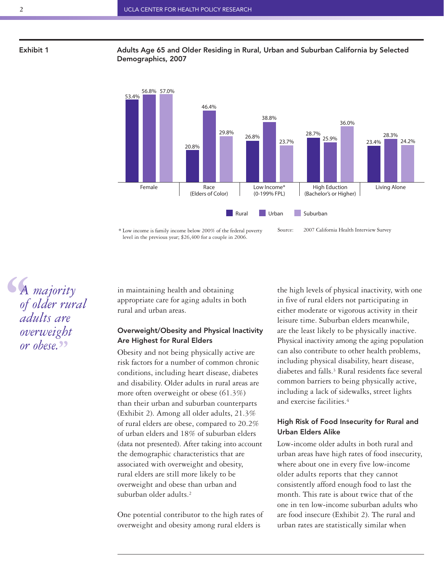### **Exhibit 1 Adults Age 65 and Older Residing in Rural, Urban and Suburban California by Selected Demographics, 2007**



\* Low income is family income below 200% of the federal poverty level in the previous year; \$26,400 for a couple in 2006. Source: 2007 California Health Interview Survey

**4**<br>of<br>aa<br>ov *A majority of older rural adults are overweight or obese.* **''**

in maintaining health and obtaining appropriate care for aging adults in both rural and urban areas.

# **Overweight/Obesity and Physical Inactivity Are Highest for Rural Elders**

Obesity and not being physically active are risk factors for a number of common chronic conditions, including heart disease, diabetes and disability. Older adults in rural areas are more often overweight or obese (61.3%) than their urban and suburban counterparts (Exhibit 2). Among all older adults, 21.3% of rural elders are obese, compared to 20.2% of urban elders and 18% of suburban elders (data not presented). After taking into account the demographic characteristics that are associated with overweight and obesity, rural elders are still more likely to be overweight and obese than urban and suburban older adults.2

One potential contributor to the high rates of overweight and obesity among rural elders is

the high levels of physical inactivity, with one in five of rural elders not participating in either moderate or vigorous activity in their leisure time. Suburban elders meanwhile, are the least likely to be physically inactive. Physical inactivity among the aging population can also contribute to other health problems, including physical disability, heart disease, diabetes and falls.3 Rural residents face several common barriers to being physically active, including a lack of sidewalks, street lights and exercise facilities.4

# **High Risk of Food Insecurity for Rural and Urban Elders Alike**

Low-income older adults in both rural and urban areas have high rates of food insecurity, where about one in every five low-income older adults reports that they cannot consistently afford enough food to last the month. This rate is about twice that of the one in ten low-income suburban adults who are food insecure (Exhibit 2). The rural and urban rates are statistically similar when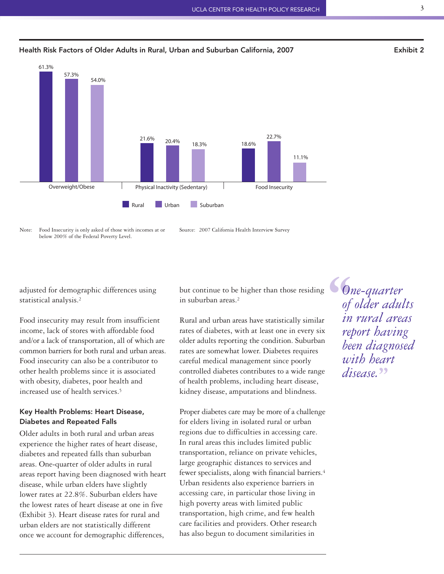

## **Health Risk Factors of Older Adults in Rural, Urban and Suburban California, 2007 Exhibit 2**

Note: Food Insecurity is only asked of those with incomes at or below 200% of the Federal Poverty Level.

adjusted for demographic differences using statistical analysis.2

Food insecurity may result from insufficient income, lack of stores with affordable food and/or a lack of transportation, all of which are common barriers for both rural and urban areas. Food insecurity can also be a contributor to other health problems since it is associated with obesity, diabetes, poor health and increased use of health services.<sup>5</sup>

# **Key Health Problems: Heart Disease, Diabetes and Repeated Falls**

Older adults in both rural and urban areas experience the higher rates of heart disease, diabetes and repeated falls than suburban areas. One-quarter of older adults in rural areas report having been diagnosed with heart disease, while urban elders have slightly lower rates at 22.8%. Suburban elders have the lowest rates of heart disease at one in five (Exhibit 3). Heart disease rates for rural and urban elders are not statistically different once we account for demographic differences,

but continue to be higher than those residing in suburban areas.2

Rural and urban areas have statistically similar rates of diabetes, with at least one in every six older adults reporting the condition. Suburban rates are somewhat lower. Diabetes requires careful medical management since poorly controlled diabetes contributes to a wide range of health problems, including heart disease, kidney disease, amputations and blindness.

Proper diabetes care may be more of a challenge for elders living in isolated rural or urban regions due to difficulties in accessing care. In rural areas this includes limited public transportation, reliance on private vehicles, large geographic distances to services and fewer specialists, along with financial barriers. 4 Urban residents also experience barriers in accessing care, in particular those living in high poverty areas with limited public transportation, high crime, and few health care facilities and providers. Other research has also begun to document similarities in

**6**<br>
of<br>
in<br>
ref *One-quarter of older adults in rural areas report having been diagnosed with heart disease.* a1<br>22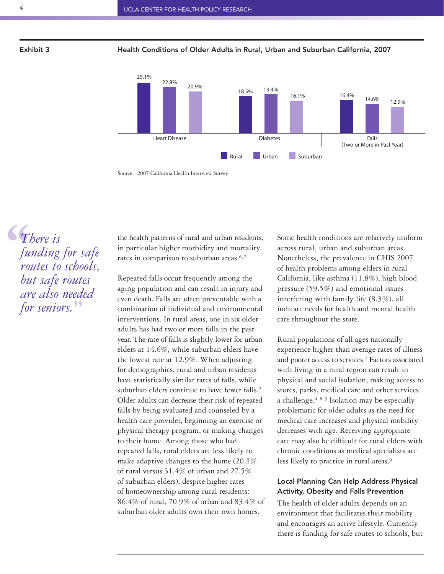**Exhibit 3 Health Conditions of Older Adults in Rural, Urban and Suburban California, 2007**



Source: 2007 California Health Interview Survey

 $\begin{bmatrix} T \\ fu \\ fu \\ roi \\ bu \end{bmatrix}$ *There is funding for safe routes to schools, but safe routes are also needed* **''** *for seniors.*

the health patterns of rural and urban residents, in particular higher morbidity and mortality rates in comparison to suburban areas.<sup>6,7</sup>

Repeated falls occur frequently among the aging population and can result in injury and even death. Falls are often preventable with a combination of individual and environmental interventions. In rural areas, one in six older adults has had two or more falls in the past year. The rate of falls is slightly lower for urban elders at 14.6%, while suburban elders have the lowest rate at 12.9%. When adjusting for demographics, rural and urban residents have statistically similar rates of falls, while suburban elders continue to have fewer falls.<sup>2</sup> Older adults can decrease their risk of repeated falls by being evaluated and counseled by a health care provider, beginning an exercise or physical therapy program, or making changes to their home. Among those who had repeated falls, rural elders are less likely to make adaptive changes to the home (20.3% of rural versus 31.4% of urban and 27.5% of suburban elders), despite higher rates of homeownership among rural residents: 86.4% of rural, 70.9% of urban and 83.4% of suburban older adults own their own homes.

Some health conditions are relatively uniform across rural, urban and suburban areas. Nonetheless, the prevalence in CHIS 2007 of health problems among elders in rural California, like asthma (11.8%), high blood pressure (59.5%) and emotional issues interfering with family life (8.3%), all indicate needs for health and mental health care throughout the state.

Rural populations of all ages nationally experience higher than average rates of illness and poorer access to services. <sup>7</sup> Factors associated with living in a rural region can result in physical and social isolation, making access to stores, parks, medical care and other services a challenge. $4, 8, 9$  Isolation may be especially problematic for older adults as the need for medical care increases and physical mobility decreases with age. Receiving appropriate care may also be difficult for rural elders with chronic conditions as medical specialists are less likely to practice in rural areas.9

# **Local Planning Can Help Address Physical Activity, Obesity and Falls Prevention**

The health of older adults depends on an environment that facilitates their mobility and encourages an active lifestyle. Currently there is funding for safe routes to schools, but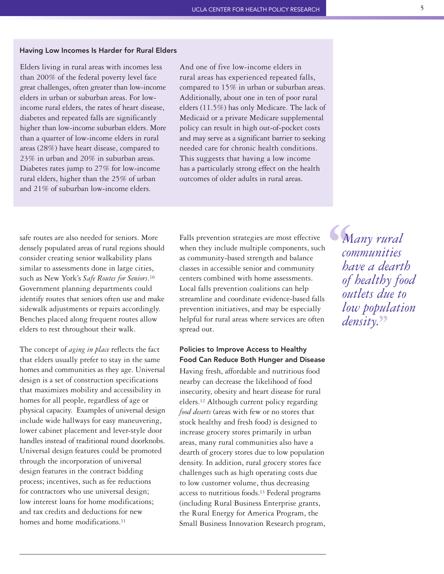### **Having Low Incomes Is Harder for Rural Elders**

Elders living in rural areas with incomes less than 200% of the federal poverty level face great challenges, often greater than low-income elders in urban or suburban areas. For lowincome rural elders, the rates of heart disease, diabetes and repeated falls are significantly higher than low-income suburban elders. More than a quarter of low-income elders in rural areas (28%) have heart disease, compared to 23% in urban and 20% in suburban areas. Diabetes rates jump to 27% for low-income rural elders, higher than the 25% of urban and 21% of suburban low-income elders.

And one of five low-income elders in rural areas has experienced repeated falls, compared to 15% in urban or suburban areas. Additionally, about one in ten of poor rural elders (11.5%) has only Medicare. The lack of Medicaid or a private Medicare supplemental policy can result in high out-of-pocket costs and may serve as a significant barrier to seeking needed care for chronic health conditions. This suggests that having a low income has a particularly strong effect on the health outcomes of older adults in rural areas.

safe routes are also needed for seniors. More densely populated areas of rural regions should consider creating senior walkability plans similar to assessments done in large cities, such as New York's *Safe Routes for Seniors*.10 Government planning departments could identify routes that seniors often use and make sidewalk adjustments or repairs accordingly. Benches placed along frequent routes allow elders to rest throughout their walk.

The concept of *aging in place* reflects the fact that elders usually prefer to stay in the same homes and communities as they age. Universal design is a set of construction specifications that maximizes mobility and accessibility in homes for all people, regardless of age or physical capacity. Examples of universal design include wide hallways for easy maneuvering, lower cabinet placement and lever-style door handles instead of traditional round doorknobs. Universal design features could be promoted through the incorporation of universal design features in the contract bidding process; incentives, such as fee reductions for contractors who use universal design; low interest loans for home modifications; and tax credits and deductions for new homes and home modifications.<sup>11</sup>

Falls prevention strategies are most effective when they include multiple components, such as community-based strength and balance classes in accessible senior and community centers combined with home assessments. Local falls prevention coalitions can help streamline and coordinate evidence-based falls prevention initiatives, and may be especially helpful for rural areas where services are often spread out.

# **Policies to Improve Access to Healthy Food Can Reduce Both Hunger and Disease**

Having fresh, affordable and nutritious food nearby can decrease the likelihood of food insecurity, obesity and heart disease for rural elders.12 Although current policy regarding *food deserts* (areas with few or no stores that stock healthy and fresh food) is designed to increase grocery stores primarily in urban areas, many rural communities also have a dearth of grocery stores due to low population density. In addition, rural grocery stores face challenges such as high operating costs due to low customer volume, thus decreasing access to nutritious foods. <sup>13</sup> Federal programs (including Rural Business Enterprise grants, the Rural Energy for America Program, the Small Business Innovation Research program,

**M**<br>
con<br>
ba<br>
of *Many rural communities have a dearth of healthy food outlets due to low population density.* **''**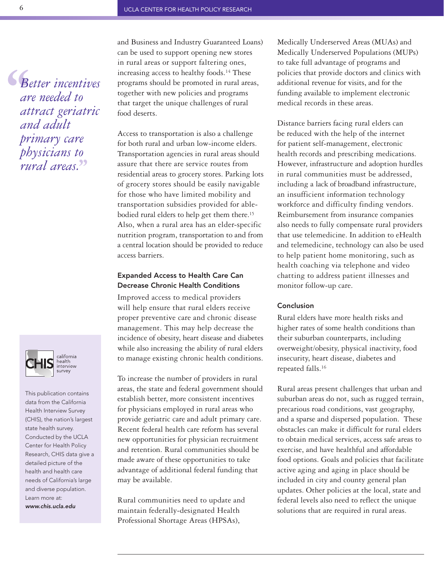**S**<br>
ar<br>
at<br>
an *Better incentives are needed to attract geriatric and adult primary care physicians to rural areas.* **''**



This publication contains data from the California Health Interview Survey (CHIS), the nation's largest state health survey. Conducted by the UCLA Center for Health Policy Research, CHIS data give a detailed picture of the health and health care needs of California's large and diverse population. Learn more at: *www.chis.ucla.edu*

and Business and Industry Guaranteed Loans) can be used to support opening new stores in rural areas or support faltering ones, increasing access to healthy foods.14 These programs should be promoted in rural areas, together with new policies and programs that target the unique challenges of rural food deserts.

Access to transportation is also a challenge for both rural and urban low-income elders. Transportation agencies in rural areas should assure that there are service routes from residential areas to grocery stores. Parking lots of grocery stores should be easily navigable for those who have limited mobility and transportation subsidies provided for ablebodied rural elders to help get them there. 15 Also, when a rural area has an elder-specific nutrition program, transportation to and from a central location should be provided to reduce access barriers.

# **Expanded Access to Health Care Can Decrease Chronic Health Conditions**

Improved access to medical providers will help ensure that rural elders receive proper preventive care and chronic disease management. This may help decrease the incidence of obesity, heart disease and diabetes while also increasing the ability of rural elders to manage existing chronic health conditions.

To increase the number of providers in rural areas, the state and federal government should establish better, more consistent incentives for physicians employed in rural areas who provide geriatric care and adult primary care. Recent federal health care reform has several new opportunities for physician recruitment and retention. Rural communities should be made aware of these opportunities to take advantage of additional federal funding that may be available.

Rural communities need to update and maintain federally-designated Health Professional Shortage Areas (HPSAs),

Medically Underserved Areas (MUAs) and Medically Underserved Populations (MUPs) to take full advantage of programs and policies that provide doctors and clinics with additional revenue for visits, and for the funding available to implement electronic medical records in these areas.

Distance barriers facing rural elders can be reduced with the help of the internet for patient self-management, electronic health records and prescribing medications. However, infrastructure and adoption hurdles in rural communities must be addressed, including a lack of broadband infrastructure, an insufficient information technology workforce and difficulty finding vendors. Reimbursement from insurance companies also needs to fully compensate rural providers that use telemedicine. In addition to eHealth and telemedicine, technology can also be used to help patient home monitoring, such as health coaching via telephone and video chatting to address patient illnesses and monitor follow-up care.

#### **Conclusion**

Rural elders have more health risks and higher rates of some health conditions than their suburban counterparts, including overweight/obesity, physical inactivity, food insecurity, heart disease, diabetes and repeated falls.16

Rural areas present challenges that urban and suburban areas do not, such as rugged terrain, precarious road conditions, vast geography, and a sparse and dispersed population. These obstacles can make it difficult for rural elders to obtain medical services, access safe areas to exercise, and have healthful and affordable food options. Goals and policies that facilitate active aging and aging in place should be included in city and county general plan updates. Other policies at the local, state and federal levels also need to reflect the unique solutions that are required in rural areas.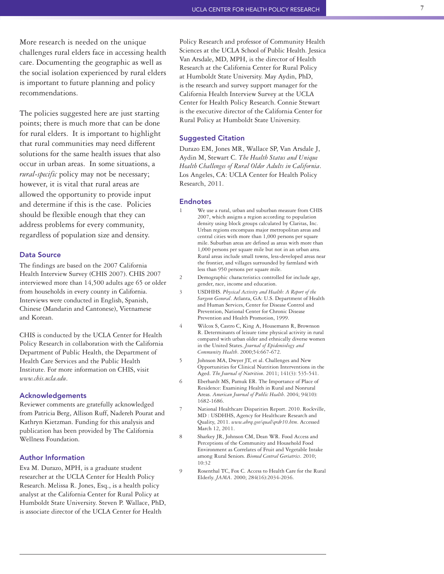More research is needed on the unique challenges rural elders face in accessing health care. Documenting the geographic as well as the social isolation experienced by rural elders is important to future planning and policy recommendations.

The policies suggested here are just starting points; there is much more that can be done for rural elders. It is important to highlight that rural communities may need different solutions for the same health issues that also occur in urban areas. In some situations, a rural-specific policy may not be necessary; however, it is vital that rural areas are allowed the opportunity to provide input and determine if this is the case. Policies should be flexible enough that they can address problems for every community, regardless of population size and density.

#### Data Source

The findings are based on the 2007 California Health Interview Survey (CHIS 2007). CHIS 2007 interviewed more than 14,500 adults age 65 or older from households in every county in California. Interviews were conducted in English, Spanish, Chinese (Mandarin and Cantonese), Vietnamese and Korean.

CHIS is conducted by the UCLA Center for Health Policy Research in collaboration with the California Department of Public Health, the Department of Health Care Services and the Public Health Institute. For more information on CHIS, visit *w w w. ch i s . u cla . e du* .

#### **Acknowledgements**

Reviewer comments are gratefully acknowledged from Patricia Berg, Allison Ruff, Nadereh Pourat and Kathryn Kietzman. Funding for this analysis and publication has been provided by The California Wellness Foundation.

#### **Author Information**

Eva M. Durazo, MPH, is a graduate student researcher at the UCLA Center for Health Policy Research. Melissa R. Jones, Esq., is a health policy analyst at the California Center for Rural Policy at Humboldt State University. Steven P. Wallace, PhD, is associate director of the UCLA Center for Health

Policy Research and professor of Community Health Sciences at the UCLA School of Public Health. Jessica Van Arsdale, MD, MPH, is the director of Health Research at the California Center for Rural Policy at Humboldt State University. May Aydin, PhD, is the research and survey support manager for the California Health Interview Survey at the UCLA Center for Health Policy Research. Connie Stewart is the executive director of the California Center for Rural Policy at Humboldt State University.

#### **Suggested Citation**

Durazo EM, Jones MR, Wallace SP, Van Arsdale J, Aydin M, Stewart C. The Health Status and Unique Health Challenges of Rural Older Adults in California. Los Angeles, CA: UCLA Center for Health Policy Research, 2011.

#### Endnotes

1

- We use a rural, urban and suburban measure from CHIS 2007, which assigns a region according to population density using block groups calculated by Claritas, Inc. Urban regions encompass major metropolitan areas and central cities with more than 1,000 persons per square mile. Suburban areas are defined as areas with more than 1,000 persons per square mile but not in an urban area. Rural areas include small towns, less-developed areas near the frontier, and villages surrounded by farmland with less than 950 persons per square mile.
- 2 Demographic characteristics controlled for include age, gender, race, income and education.
- 3 USDHHS. Physical Activity and Health: A Report of the Surgeon General. Atlanta, GA: U.S. Department of Health and Human Services, Center for Disease Control and Prevention, National Center for Chronic Disease Prevention and Health Promotion, 1999.
- 4 Wilcox S, Castro C, King A, Housemann R, Brownson R. Determinants of leisure time physical activity in rural compared with urban older and ethnically diverse women in the United States. Journal of Epidemiology and Community Health. 2000;54:667-672.
- 5 Johnson MA, Dwyer JT, et al. Challenges and New Opportunities for Clinical Nutrition Interventions in the Aged. The Journal of Nutrition. 2011; 141(3): 535-541.
- 6 Eberhardt MS, Pamuk ER. The Importance of Place of Residence: Examining Health in Rural and Nonrural Areas. American Journal of Public Health. 2004; 94(10): 1682-1686.
- 7 National Healthcare Disparities Report. 2010. Rockville, MD: USDHHS, Agency for Healthcare Research and Quality, 2011. www.ahrq.gov/qual/qrdr10.htm. Accessed March 12, 2011.
- 8 Sharkey JR, Johnson CM, Dean WR. Food Access and Perceptions of the Community and Household Food Environment as Correlates of Fruit and Vegetable Intake among Rural Seniors. Biomed Central Geriatrics. 2010; 1 0 : 3 2
- 9 Rosenthal TC, Fox C. Access to Health Care for the Rural Elderly. *JAMA*. 2000; 284(16):2034-2036.